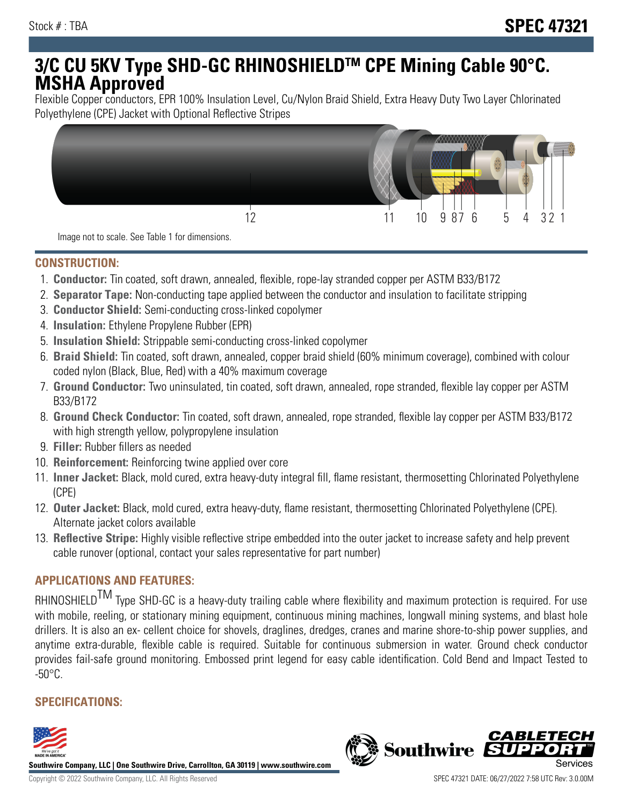# **3/C CU 5KV Type SHD-GC RHINOSHIELDTM CPE Mining Cable 90°C. MSHA Approved**

Flexible Copper conductors, EPR 100% Insulation Level, Cu/Nylon Braid Shield, Extra Heavy Duty Two Layer Chlorinated Polyethylene (CPE) Jacket with Optional Reflective Stripes



Image not to scale. See Table 1 for dimensions.

#### **CONSTRUCTION:**

- 1. **Conductor:** Tin coated, soft drawn, annealed, flexible, rope-lay stranded copper per ASTM B33/B172
- 2. **Separator Tape:** Non-conducting tape applied between the conductor and insulation to facilitate stripping
- 3. **Conductor Shield:** Semi-conducting cross-linked copolymer
- 4. **Insulation:** Ethylene Propylene Rubber (EPR)
- 5. **Insulation Shield:** Strippable semi-conducting cross-linked copolymer
- 6. **Braid Shield:** Tin coated, soft drawn, annealed, copper braid shield (60% minimum coverage), combined with colour coded nylon (Black, Blue, Red) with a 40% maximum coverage
- 7. **Ground Conductor:** Two uninsulated, tin coated, soft drawn, annealed, rope stranded, flexible lay copper per ASTM B33/B172
- 8. **Ground Check Conductor:** Tin coated, soft drawn, annealed, rope stranded, flexible lay copper per ASTM B33/B172 with high strength yellow, polypropylene insulation
- 9. **Filler:** Rubber fillers as needed
- 10. **Reinforcement:** Reinforcing twine applied over core
- 11. **Inner Jacket:** Black, mold cured, extra heavy-duty integral fill, flame resistant, thermosetting Chlorinated Polyethylene (CPE)
- 12. **Outer Jacket:** Black, mold cured, extra heavy-duty, flame resistant, thermosetting Chlorinated Polyethylene (CPE). Alternate jacket colors available
- 13. **Reflective Stripe:** Highly visible reflective stripe embedded into the outer jacket to increase safety and help prevent cable runover (optional, contact your sales representative for part number)

## **APPLICATIONS AND FEATURES:**

RHINOSHIELD<sup>TM</sup> Type SHD-GC is a heavy-duty trailing cable where flexibility and maximum protection is required. For use with mobile, reeling, or stationary mining equipment, continuous mining machines, longwall mining systems, and blast hole drillers. It is also an ex- cellent choice for shovels, draglines, dredges, cranes and marine shore-to-ship power supplies, and anytime extra-durable, flexible cable is required. Suitable for continuous submersion in water. Ground check conductor provides fail-safe ground monitoring. Embossed print legend for easy cable identification. Cold Bend and Impact Tested to  $-50^{\circ}$ C.

## **SPECIFICATIONS:**



**Southwire Company, LLC | One Southwire Drive, Carrollton, GA 30119 | www.southwire.com**

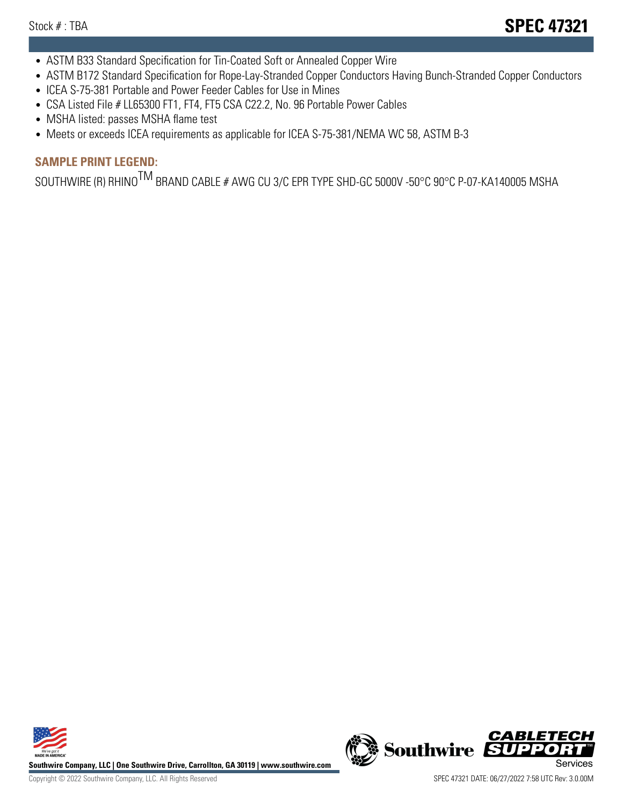- ASTM B33 Standard Specification for Tin-Coated Soft or Annealed Copper Wire
- ASTM B172 Standard Specification for Rope-Lay-Stranded Copper Conductors Having Bunch-Stranded Copper Conductors
- ICEA S-75-381 Portable and Power Feeder Cables for Use in Mines
- CSA Listed File # LL65300 FT1, FT4, FT5 CSA C22.2, No. 96 Portable Power Cables
- MSHA listed: passes MSHA flame test
- Meets or exceeds ICEA requirements as applicable for ICEA S-75-381/NEMA WC 58, ASTM B-3

## **SAMPLE PRINT LEGEND:**

SOUTHWIRE (R) RHINO<sup>TM</sup> BRAND CABLE # AWG CU 3/C EPR TYPE SHD-GC 5000V -50°C 90°C P-07-KA140005 MSHA